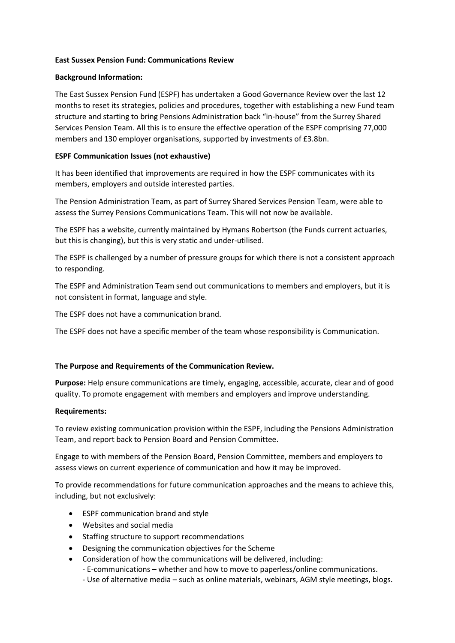## **East Sussex Pension Fund: Communications Review**

## **Background Information:**

The East Sussex Pension Fund (ESPF) has undertaken a Good Governance Review over the last 12 months to reset its strategies, policies and procedures, together with establishing a new Fund team structure and starting to bring Pensions Administration back "in-house" from the Surrey Shared Services Pension Team. All this is to ensure the effective operation of the ESPF comprising 77,000 members and 130 employer organisations, supported by investments of £3.8bn.

## **ESPF Communication Issues (not exhaustive)**

It has been identified that improvements are required in how the ESPF communicates with its members, employers and outside interested parties.

The Pension Administration Team, as part of Surrey Shared Services Pension Team, were able to assess the Surrey Pensions Communications Team. This will not now be available.

The ESPF has a website, currently maintained by Hymans Robertson (the Funds current actuaries, but this is changing), but this is very static and under-utilised.

The ESPF is challenged by a number of pressure groups for which there is not a consistent approach to responding.

The ESPF and Administration Team send out communications to members and employers, but it is not consistent in format, language and style.

The ESPF does not have a communication brand.

The ESPF does not have a specific member of the team whose responsibility is Communication.

# **The Purpose and Requirements of the Communication Review.**

**Purpose:** Help ensure communications are timely, engaging, accessible, accurate, clear and of good quality. To promote engagement with members and employers and improve understanding.

#### **Requirements:**

To review existing communication provision within the ESPF, including the Pensions Administration Team, and report back to Pension Board and Pension Committee.

Engage to with members of the Pension Board, Pension Committee, members and employers to assess views on current experience of communication and how it may be improved.

To provide recommendations for future communication approaches and the means to achieve this, including, but not exclusively:

- ESPF communication brand and style
- Websites and social media
- Staffing structure to support recommendations
- Designing the communication objectives for the Scheme
- Consideration of how the communications will be delivered, including:
	- E-communications whether and how to move to paperless/online communications.
	- Use of alternative media such as online materials, webinars, AGM style meetings, blogs.